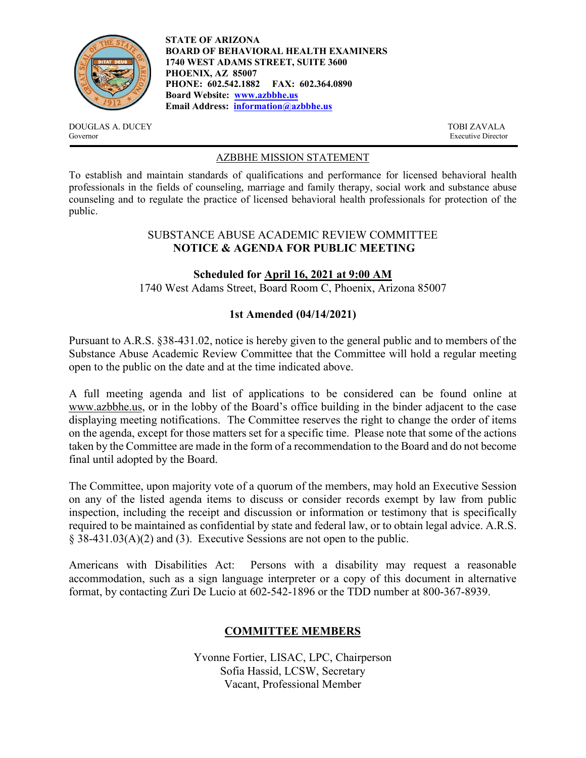

**STATE OF ARIZONA BOARD OF BEHAVIORAL HEALTH EXAMINERS 1740 WEST ADAMS STREET, SUITE 3600 PHOENIX, AZ 85007 PHONE: 602.542.1882 FAX: 602.364.0890 Board Website: [www.azbbhe.us](http://www.azbbhe.us/) Email Address: [information@azbbhe.us](mailto:information@azbbhe.us)**

DOUGLAS A. DUCEY TOBI ZAVALA<br>
Governor Executive Director

Executive Director

## AZBBHE MISSION STATEMENT

To establish and maintain standards of qualifications and performance for licensed behavioral health professionals in the fields of counseling, marriage and family therapy, social work and substance abuse counseling and to regulate the practice of licensed behavioral health professionals for protection of the public.

#### SUBSTANCE ABUSE ACADEMIC REVIEW COMMITTEE **NOTICE & AGENDA FOR PUBLIC MEETING**

**Scheduled for April 16, 2021 at 9:00 AM**

1740 West Adams Street, Board Room C, Phoenix, Arizona 85007

## **1st Amended (04/14/2021)**

Pursuant to A.R.S. §38-431.02, notice is hereby given to the general public and to members of the Substance Abuse Academic Review Committee that the Committee will hold a regular meeting open to the public on the date and at the time indicated above.

A full meeting agenda and list of applications to be considered can be found online at [www.azbbhe.us,](http://www.azbbhe.us/) or in the lobby of the Board's office building in the binder adjacent to the case displaying meeting notifications. The Committee reserves the right to change the order of items on the agenda, except for those matters set for a specific time. Please note that some of the actions taken by the Committee are made in the form of a recommendation to the Board and do not become final until adopted by the Board.

The Committee, upon majority vote of a quorum of the members, may hold an Executive Session on any of the listed agenda items to discuss or consider records exempt by law from public inspection, including the receipt and discussion or information or testimony that is specifically required to be maintained as confidential by state and federal law, or to obtain legal advice. A.R.S. § 38-431.03(A)(2) and (3). Executive Sessions are not open to the public.

Americans with Disabilities Act: Persons with a disability may request a reasonable accommodation, such as a sign language interpreter or a copy of this document in alternative format, by contacting Zuri De Lucio at 602-542-1896 or the TDD number at 800-367-8939.

# **COMMITTEE MEMBERS**

Yvonne Fortier, LISAC, LPC, Chairperson Sofia Hassid, LCSW, Secretary Vacant, Professional Member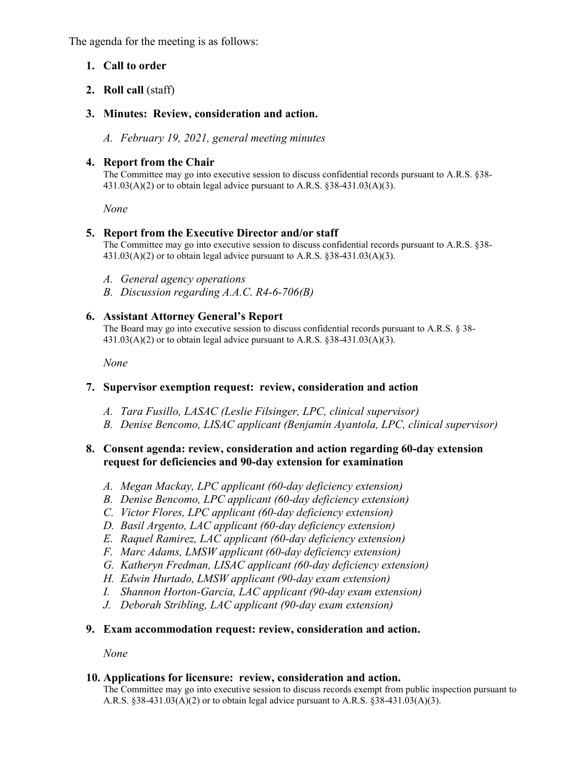The agenda for the meeting is as follows:

## **1. Call to order**

- **2. Roll call** (staff)
- **3. Minutes: Review, consideration and action.**

*A. February 19, 2021, general meeting minutes*

## **4. Report from the Chair**

The Committee may go into executive session to discuss confidential records pursuant to A.R.S. §38-  $431.03(A)(2)$  or to obtain legal advice pursuant to A.R.S.  $§ 38-431.03(A)(3)$ .

*None*

## **5. Report from the Executive Director and/or staff**

The Committee may go into executive session to discuss confidential records pursuant to A.R.S. §38-  $431.03(A)(2)$  or to obtain legal advice pursuant to A.R.S. §38-431.03(A)(3).

- *A. General agency operations*
- *B. Discussion regarding A.A.C. R4-6-706(B)*

### **6. Assistant Attorney General's Report**

The Board may go into executive session to discuss confidential records pursuant to A.R.S. § 38-  $431.03(A)(2)$  or to obtain legal advice pursuant to A.R.S. §38-431.03(A)(3).

 *None*

### **7. Supervisor exemption request: review, consideration and action**

- *A. Tara Fusillo, LASAC (Leslie Filsinger, LPC, clinical supervisor)*
- *B. Denise Bencomo, LISAC applicant (Benjamin Ayantola, LPC, clinical supervisor)*

## **8. Consent agenda: review, consideration and action regarding 60-day extension request for deficiencies and 90-day extension for examination**

- *A. Megan Mackay, LPC applicant (60-day deficiency extension)*
- *B. Denise Bencomo, LPC applicant (60-day deficiency extension)*
- *C. Victor Flores, LPC applicant (60-day deficiency extension)*
- *D. Basil Argento, LAC applicant (60-day deficiency extension)*
- *E. Raquel Ramirez, LAC applicant (60-day deficiency extension)*
- *F. Marc Adams, LMSW applicant (60-day deficiency extension)*
- *G. Katheryn Fredman, LISAC applicant (60-day deficiency extension)*
- *H. Edwin Hurtado, LMSW applicant (90-day exam extension)*
- *I. Shannon Horton-Garcia, LAC applicant (90-day exam extension)*
- *J. Deborah Stribling, LAC applicant (90-day exam extension)*

### **9. Exam accommodation request: review, consideration and action.**

*None* 

#### **10. Applications for licensure: review, consideration and action.**

The Committee may go into executive session to discuss records exempt from public inspection pursuant to A.R.S. §38-431.03(A)(2) or to obtain legal advice pursuant to A.R.S. §38-431.03(A)(3).